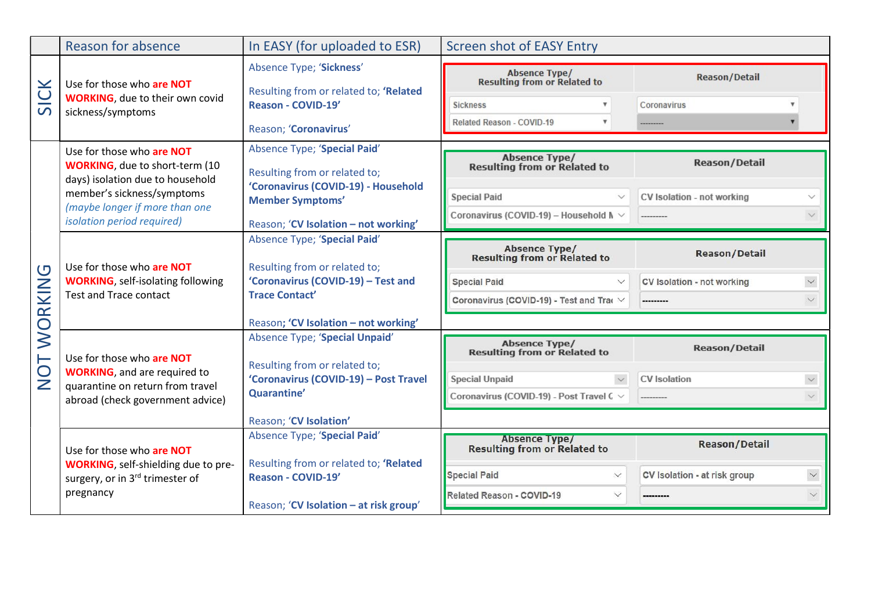|                              | <b>Reason for absence</b>                                                                                                                                                                                    | In EASY (for uploaded to ESR)                                                                                                                                           | <b>Screen shot of EASY Entry</b>                                                                                                                      |                                                                                 |  |
|------------------------------|--------------------------------------------------------------------------------------------------------------------------------------------------------------------------------------------------------------|-------------------------------------------------------------------------------------------------------------------------------------------------------------------------|-------------------------------------------------------------------------------------------------------------------------------------------------------|---------------------------------------------------------------------------------|--|
| $\blacktriangleright$<br>SIC | Use for those who are NOT<br><b>WORKING</b> , due to their own covid<br>sickness/symptoms                                                                                                                    | Absence Type; 'Sickness'<br>Resulting from or related to; 'Related<br>Reason - COVID-19'<br>Reason; 'Coronavirus'                                                       | Absence Type/<br>Resulting from or Related to<br><b>Sickness</b><br>$\boldsymbol{\mathrm{v}}$<br>Related Reason - COVID-19                            | <b>Reason/Detail</b><br>Coronavirus                                             |  |
| RKING<br><b>O</b><br>TON     | Use for those who are NOT<br><b>WORKING</b> , due to short-term (10<br>days) isolation due to household<br>member's sickness/symptoms<br>(maybe longer if more than one<br><i>isolation period required)</i> | Absence Type; 'Special Paid'<br>Resulting from or related to;<br>'Coronavirus (COVID-19) - Household<br><b>Member Symptoms'</b><br>Reason; 'CV Isolation - not working' | <b>Absence Type/</b><br><b>Resulting from or Related to</b><br><b>Special Paid</b><br>$\checkmark$<br>Coronavirus (COVID-19) - Household M $\vee$     | <b>Reason/Detail</b><br>CV Isolation - not working<br>----------                |  |
|                              | Use for those who are NOT<br><b>WORKING</b> , self-isolating following<br><b>Test and Trace contact</b>                                                                                                      | Absence Type; 'Special Paid'<br>Resulting from or related to;<br>'Coronavirus (COVID-19) - Test and<br><b>Trace Contact'</b><br>Reason; 'CV Isolation - not working'    | <b>Absence Type/</b><br><b>Resulting from or Related to</b><br><b>Special Paid</b><br>$\checkmark$<br>Coronavirus (COVID-19) - Test and Trac V        | <b>Reason/Detail</b><br>$\checkmark$<br>CV Isolation - not working<br>--------- |  |
|                              | Use for those who are NOT<br><b>WORKING</b> , and are required to<br>quarantine on return from travel<br>abroad (check government advice)                                                                    | Absence Type; 'Special Unpaid'<br>Resulting from or related to;<br>'Coronavirus (COVID-19) - Post Travel<br>Quarantine'<br>Reason; 'CV Isolation'                       | <b>Absence Type/</b><br><b>Resulting from or Related to</b><br><b>Special Unpaid</b><br>$\checkmark$<br>Coronavirus (COVID-19) - Post Travel C $\vee$ | <b>Reason/Detail</b><br><b>CV</b> Isolation                                     |  |
|                              | Use for those who are NOT<br><b>WORKING</b> , self-shielding due to pre-<br>surgery, or in 3rd trimester of<br>pregnancy                                                                                     | Absence Type; 'Special Paid'<br>Resulting from or related to; 'Related<br>Reason - COVID-19'<br>Reason; 'CV Isolation - at risk group'                                  | <b>Absence Type/</b><br><b>Resulting from or Related to</b><br><b>Special Paid</b><br>$\checkmark$<br>Related Reason - COVID-19<br>$\checkmark$       | <b>Reason/Detail</b><br>$\small\vee$<br>CV Isolation - at risk group<br>$\vee$  |  |